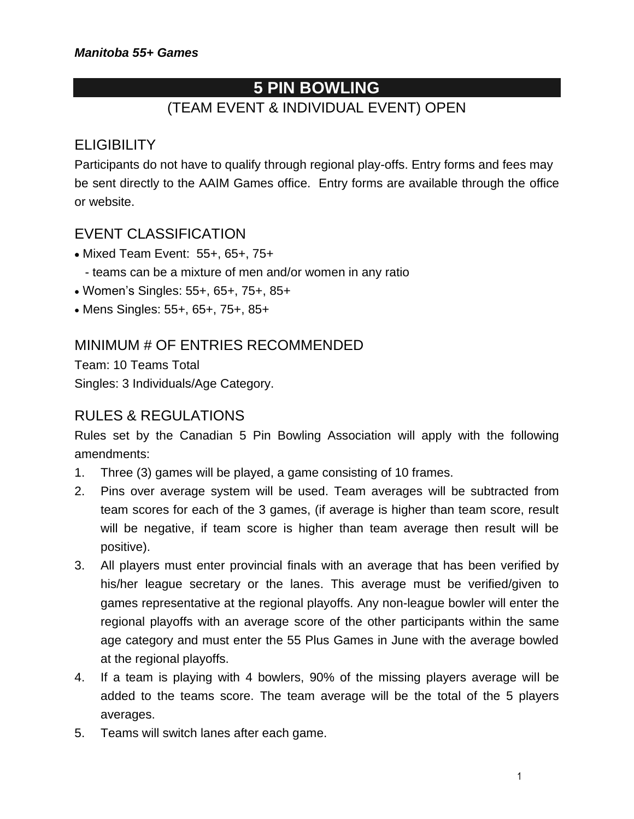# **5 PIN BOWLING**

# (TEAM EVENT & INDIVIDUAL EVENT) OPEN

# **ELIGIBILITY**

Participants do not have to qualify through regional play-offs. Entry forms and fees may be sent directly to the AAIM Games office. Entry forms are available through the office or website.

## EVENT CLASSIFICATION

- Mixed Team Event: 55+, 65+, 75+
	- teams can be a mixture of men and/or women in any ratio
- Women's Singles: 55+, 65+, 75+, 85+
- Mens Singles: 55+, 65+, 75+, 85+

#### MINIMUM # OF ENTRIES RECOMMENDED

Team: 10 Teams Total Singles: 3 Individuals/Age Category.

#### RULES & REGULATIONS

Rules set by the Canadian 5 Pin Bowling Association will apply with the following amendments:

- 1. Three (3) games will be played, a game consisting of 10 frames.
- 2. Pins over average system will be used. Team averages will be subtracted from team scores for each of the 3 games, (if average is higher than team score, result will be negative, if team score is higher than team average then result will be positive).
- 3. All players must enter provincial finals with an average that has been verified by his/her league secretary or the lanes. This average must be verified/given to games representative at the regional playoffs. Any non-league bowler will enter the regional playoffs with an average score of the other participants within the same age category and must enter the 55 Plus Games in June with the average bowled at the regional playoffs.
- 4. If a team is playing with 4 bowlers, 90% of the missing players average will be added to the teams score. The team average will be the total of the 5 players averages.
- 5. Teams will switch lanes after each game.